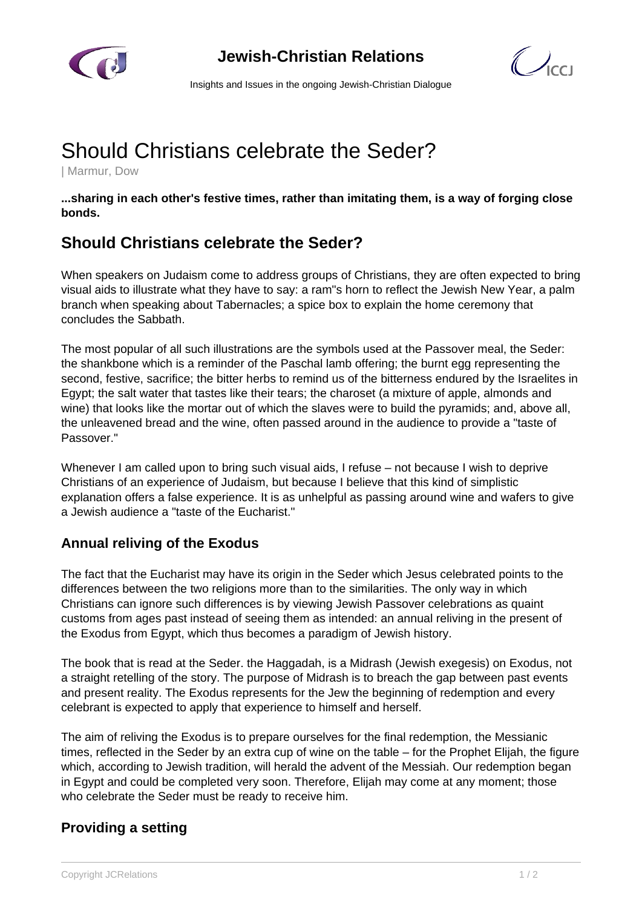

**Jewish-Christian Relations**



Insights and Issues in the ongoing Jewish-Christian Dialogue

# Should Christians celebrate the Seder?

| Marmur, Dow

**...sharing in each other's festive times, rather than imitating them, is a way of forging close bonds.**

# **Should Christians celebrate the Seder?**

When speakers on Judaism come to address groups of Christians, they are often expected to bring visual aids to illustrate what they have to say: a ram"s horn to reflect the Jewish New Year, a palm branch when speaking about Tabernacles; a spice box to explain the home ceremony that concludes the Sabbath.

The most popular of all such illustrations are the symbols used at the Passover meal, the Seder: the shankbone which is a reminder of the Paschal lamb offering; the burnt egg representing the second, festive, sacrifice; the bitter herbs to remind us of the bitterness endured by the Israelites in Egypt; the salt water that tastes like their tears; the charoset (a mixture of apple, almonds and wine) that looks like the mortar out of which the slaves were to build the pyramids; and, above all, the unleavened bread and the wine, often passed around in the audience to provide a "taste of Passover."

Whenever I am called upon to bring such visual aids, I refuse – not because I wish to deprive Christians of an experience of Judaism, but because I believe that this kind of simplistic explanation offers a false experience. It is as unhelpful as passing around wine and wafers to give a Jewish audience a "taste of the Eucharist."

## **Annual reliving of the Exodus**

The fact that the Eucharist may have its origin in the Seder which Jesus celebrated points to the differences between the two religions more than to the similarities. The only way in which Christians can ignore such differences is by viewing Jewish Passover celebrations as quaint customs from ages past instead of seeing them as intended: an annual reliving in the present of the Exodus from Egypt, which thus becomes a paradigm of Jewish history.

The book that is read at the Seder. the Haggadah, is a Midrash (Jewish exegesis) on Exodus, not a straight retelling of the story. The purpose of Midrash is to breach the gap between past events and present reality. The Exodus represents for the Jew the beginning of redemption and every celebrant is expected to apply that experience to himself and herself.

The aim of reliving the Exodus is to prepare ourselves for the final redemption, the Messianic times, reflected in the Seder by an extra cup of wine on the table – for the Prophet Elijah, the figure which, according to Jewish tradition, will herald the advent of the Messiah. Our redemption began in Egypt and could be completed very soon. Therefore, Elijah may come at any moment; those who celebrate the Seder must be ready to receive him.

## **Providing a setting**